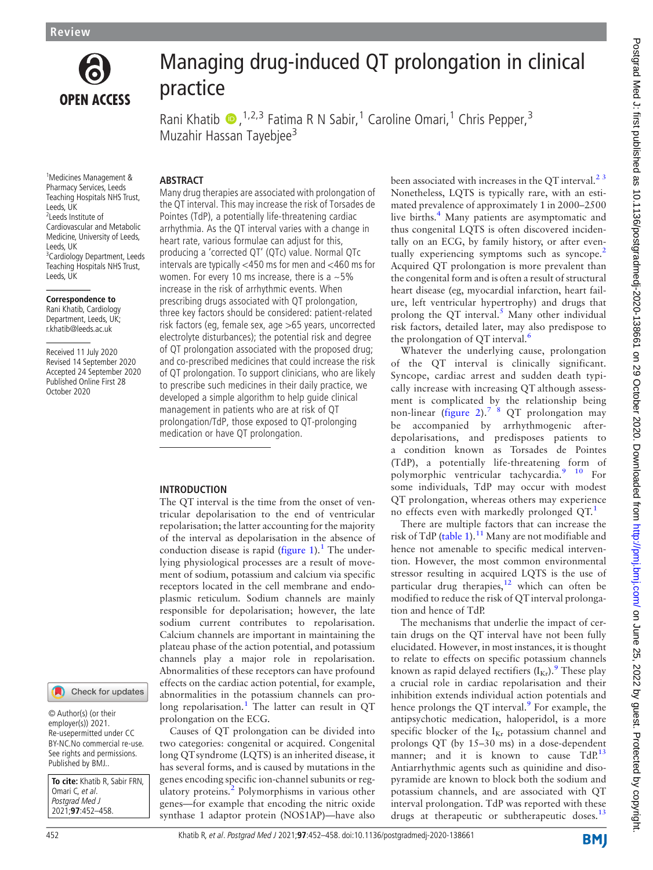

# Managing drug-induced QT prolongation in clinical practice

Rani Khatib (D, <sup>1,2,3</sup> Fatima R N Sabir, <sup>1</sup> Caroline Omari, <sup>1</sup> Chris Pepper, <sup>3</sup> Muzahir Hassan Tayebjee<sup>3</sup>

# **ABSTRACT**

1 Medicines Management & Pharmacy Services, Leeds Teaching Hospitals NHS Trust, Leeds, UK <sup>2</sup> Leeds Institute of Cardiovascular and Metabolic Medicine, University of Leeds, Leeds, UK <sup>3</sup> Cardiology Department, Leeds Teaching Hospitals NHS Trust, Leeds, UK

#### **Correspondence to**

Rani Khatib, Cardiology Department, Leeds, UK; [r.khatib@leeds.ac.uk](mailto:r.khatib@leeds.ac.uk)

Received 11 July 2020 Revised 14 September 2020 Accepted 24 September 2020 Published Online First 28 October 2020

#### Check for updates

© Author(s) (or their employer(s)) 2021. Re-usepermitted under CC BY-NC.No commercial re-use. See rights and permissions. Published by BMJ..

**To cite:** Khatib R, Sabir FRN, Omari C, et al. Postgrad Med J 2021;**97**:452–458.

Many drug therapies are associated with prolongation of the QT interval. This may increase the risk of Torsades de Pointes (TdP), a potentially life-threatening cardiac arrhythmia. As the QT interval varies with a change in heart rate, various formulae can adjust for this, producing a 'corrected QT' (QTc) value. Normal QTc intervals are typically <450 ms for men and <460 ms for women. For every 10 ms increase, there is a  $\sim$  5% increase in the risk of arrhythmic events. When prescribing drugs associated with QT prolongation, three key factors should be considered: patient-related risk factors (eg, female sex, age >65 years, uncorrected electrolyte disturbances); the potential risk and degree of QT prolongation associated with the proposed drug; and co-prescribed medicines that could increase the risk of QT prolongation. To support clinicians, who are likely to prescribe such medicines in their daily practice, we developed a simple algorithm to help guide clinical management in patients who are at risk of QT prolongation/TdP, those exposed to QT-prolonging

#### INTRODUCTION

medication or have QT prolongation.

The QT interval is the time from the onset of ventricular depolarisation to the end of ventricular repolarisation; the latter accounting for the majority of the interval as depolarisation in the absence of conduction disease is rapid [\(figure 1\)](#page-1-0).<sup>[1](#page-6-0)</sup> The underlying physiological processes are a result of movement of sodium, potassium and calcium via specific receptors located in the cell membrane and endoplasmic reticulum. Sodium channels are mainly responsible for depolarisation; however, the late sodium current contributes to repolarisation. Calcium channels are important in maintaining the plateau phase of the action potential, and potassium channels play a major role in repolarisation. Abnormalities of these receptors can have profound effects on the cardiac action potential, for example, abnormalities in the potassium channels can pro-long repolarisation.<sup>[1](#page-6-0)</sup> The latter can result in QT prolongation on the ECG.

Causes of QT prolongation can be divided into two categories: congenital or acquired. Congenital long QT syndrome (LQTS) is an inherited disease, it has several forms, and is caused by mutations in the genes encoding specific ion-channel subunits or reg-ulatory proteins.<sup>[2](#page-6-1)</sup> Polymorphisms in various other genes—for example that encoding the nitric oxide synthase 1 adaptor protein (NOS1AP)—have also

been associated with increases in the QT interval. $^{2}$ <sup>3</sup> Nonetheless, LQTS is typically rare, with an estimated prevalence of approximately 1 in 2000–2500 live births.<sup>[4](#page-6-2)</sup> Many patients are asymptomatic and thus congenital LQTS is often discovered incidentally on an ECG, by family history, or after eventually experiencing symptoms such as syncope.<sup>2</sup> Acquired QT prolongation is more prevalent than the congenital form and is often a result of structural heart disease (eg, myocardial infarction, heart failure, left ventricular hypertrophy) and drugs that prolong the QT interval. $5$  Many other individual risk factors, detailed later, may also predispose to the prolongation of  $QT$  interval.<sup>[6](#page-6-4)</sup>

Whatever the underlying cause, prolongation of the QT interval is clinically significant. Syncope, cardiac arrest and sudden death typically increase with increasing QT although assessment is complicated by the relationship being non-linear ([figure 2\)](#page-1-1).<sup>7</sup>  $8$  QT prolongation may be accompanied by arrhythmogenic afterdepolarisations, and predisposes patients to a condition known as Torsades de Pointes (TdP), a potentially life-threatening form of polymorphic ventricular tachycardia.[9 10](#page-6-6) For some individuals, TdP may occur with modest QT prolongation, whereas others may experience no effects even with markedly prolonged  $QT$ .<sup>[1](#page-6-0)</sup>

There are multiple factors that can increase the risk of TdP [\(table 1\)](#page-1-2). $^{11}$  $^{11}$  $^{11}$  Many are not modifiable and hence not amenable to specific medical intervention. However, the most common environmental stressor resulting in acquired LQTS is the use of particular drug therapies, $12$  which can often be modified to reduce the risk of QT interval prolongation and hence of TdP.

The mechanisms that underlie the impact of certain drugs on the QT interval have not been fully elucidated. However, in most instances, it is thought to relate to effects on specific potassium channels known as rapid delayed rectifiers  $(I_{Kr})$ . These play a crucial role in cardiac repolarisation and their inhibition extends individual action potentials and hence prolongs the QT interval.<sup>[9](#page-6-6)</sup> For example, the antipsychotic medication, haloperidol, is a more specific blocker of the  $I_{Kr}$  potassium channel and prolongs QT (by 15–30 ms) in a dose-dependent manner; and it is known to cause  $TdP<sup>13</sup>$  $TdP<sup>13</sup>$  $TdP<sup>13</sup>$ Antiarrhythmic agents such as quinidine and disopyramide are known to block both the sodium and potassium channels, and are associated with QT interval prolongation. TdP was reported with these drugs at therapeutic or subtherapeutic doses.<sup>[13](#page-6-9)</sup>

**BMI**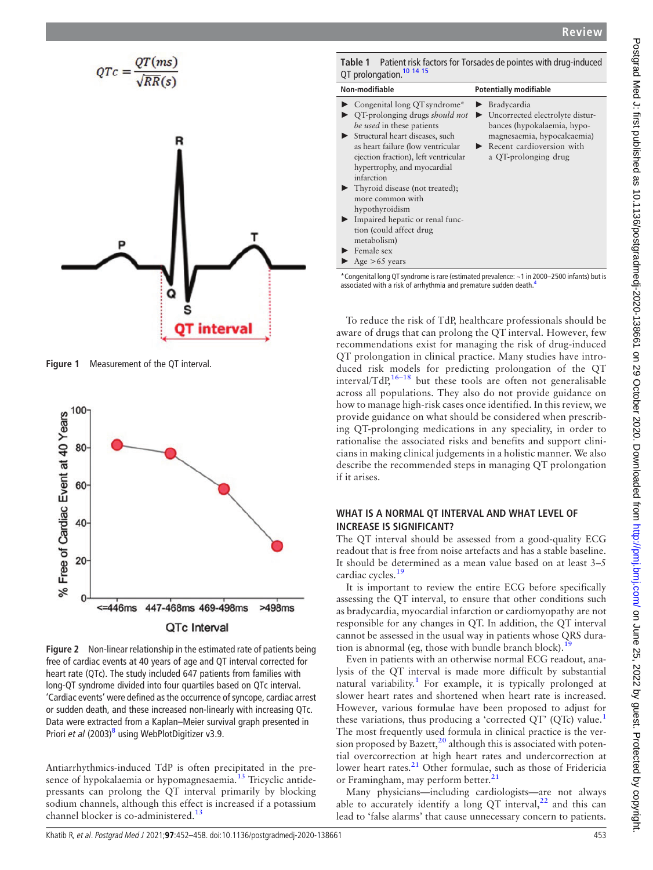<span id="page-1-0"></span>

Figure 1 Measurement of the QT interval.

<span id="page-1-1"></span>

Figure 2 Non-linear relationship in the estimated rate of patients being free of cardiac events at 40 years of age and QT interval corrected for heart rate (QTc). The study included 647 patients from families with long-QT syndrome divided into four quartiles based on QTc interval. 'Cardiac events' were defined as the occurrence of syncope, cardiac arrest or sudden death, and these increased non-linearly with increasing QTc. Data were extracted from a Kaplan–Meier survival graph presented in Priori et al  $(2003)^8$  $(2003)^8$  using WebPlotDigitizer v3.9.

Antiarrhythmics-induced TdP is often precipitated in the pre-sence of hypokalaemia or hypomagnesaemia.<sup>[13](#page-6-9)</sup> Tricyclic antidepressants can prolong the QT interval primarily by blocking sodium channels, although this effect is increased if a potassium channel blocker is co-administered.<sup>[13](#page-6-9)</sup>

<span id="page-1-2"></span>

|                                                            | <b>Table 1</b> Patient risk factors for Torsades de pointes with drug-induced |  |  |
|------------------------------------------------------------|-------------------------------------------------------------------------------|--|--|
| QT prolongation. <sup>10</sup> <sup>14</sup> <sup>15</sup> |                                                                               |  |  |

| Non-modifiable |                                                                                                                                                                                                                                                          | <b>Potentially modifiable</b> |                                                                                                                                                                                                                 |
|----------------|----------------------------------------------------------------------------------------------------------------------------------------------------------------------------------------------------------------------------------------------------------|-------------------------------|-----------------------------------------------------------------------------------------------------------------------------------------------------------------------------------------------------------------|
|                | Congenital long QT syndrome*<br>QT-prolonging drugs should not<br>be used in these patients<br>Structural heart diseases, such<br>as heart failure (low ventricular<br>ejection fraction), left ventricular<br>hypertrophy, and myocardial<br>infarction |                               | $\blacktriangleright$ Bradycardia<br>• Uncorrected electrolyte distur-<br>bances (hypokalaemia, hypo-<br>magnesaemia, hypocalcaemia)<br>$\blacktriangleright$ Recent cardioversion with<br>a QT-prolonging drug |
|                | Thyroid disease (not treated);<br>more common with<br>hypothyroidism                                                                                                                                                                                     |                               |                                                                                                                                                                                                                 |
|                | Impaired hepatic or renal func-<br>tion (could affect drug<br>metabolism)<br>Female sex                                                                                                                                                                  |                               |                                                                                                                                                                                                                 |
|                | Age $>65$ years                                                                                                                                                                                                                                          |                               |                                                                                                                                                                                                                 |

\*Congenital long QT syndrome is rare (estimated prevalence: ~1 in 2000–2500 infants) but is associated with a risk of arrhythmia and premature sudden death.<sup>4</sup>

To reduce the risk of TdP, healthcare professionals should be aware of drugs that can prolong the QT interval. However, few recommendations exist for managing the risk of drug-induced QT prolongation in clinical practice. Many studies have introduced risk models for predicting prolongation of the QT interval/ $TdP<sub>16–18</sub>$  $TdP<sub>16–18</sub>$  $TdP<sub>16–18</sub>$  but these tools are often not generalisable across all populations. They also do not provide guidance on how to manage high-risk cases once identified. In this review, we provide guidance on what should be considered when prescribing QT-prolonging medications in any speciality, in order to rationalise the associated risks and benefits and support clinicians in making clinical judgements in a holistic manner. We also describe the recommended steps in managing QT prolongation if it arises.

# WHAT IS A NORMAL QT INTERVAL AND WHAT LEVEL OF INCREASE IS SIGNIFICANT?

The QT interval should be assessed from a good-quality ECG readout that is free from noise artefacts and has a stable baseline. It should be determined as a mean value based on at least 3–5 cardiac cycles.<sup>[19](#page-6-11)</sup>

It is important to review the entire ECG before specifically assessing the QT interval, to ensure that other conditions such as bradycardia, myocardial infarction or cardiomyopathy are not responsible for any changes in QT. In addition, the QT interval cannot be assessed in the usual way in patients whose QRS duration is abnormal (eg, those with bundle branch block).<sup>1</sup>

Even in patients with an otherwise normal ECG readout, analysis of the QT interval is made more difficult by substantial natural variability.<sup>[1](#page-6-0)</sup> For example, it is typically prolonged at slower heart rates and shortened when heart rate is increased. However, various formulae have been proposed to adjust for these variations, thus producing a 'corrected QT' (QTc) value.<sup>[1](#page-6-0)</sup> The most frequently used formula in clinical practice is the version proposed by Bazett, $^{20}$  $^{20}$  $^{20}$  although this is associated with potential overcorrection at high heart rates and undercorrection at lower heart rates.<sup>[21](#page-6-13)</sup> Other formulae, such as those of Fridericia or Framingham, may perform better.<sup>[21](#page-6-13)</sup>

Many physicians—including cardiologists—are not always able to accurately identify a long  $QT$  interval, $^{22}$  $^{22}$  $^{22}$  and this can lead to 'false alarms' that cause unnecessary concern to patients.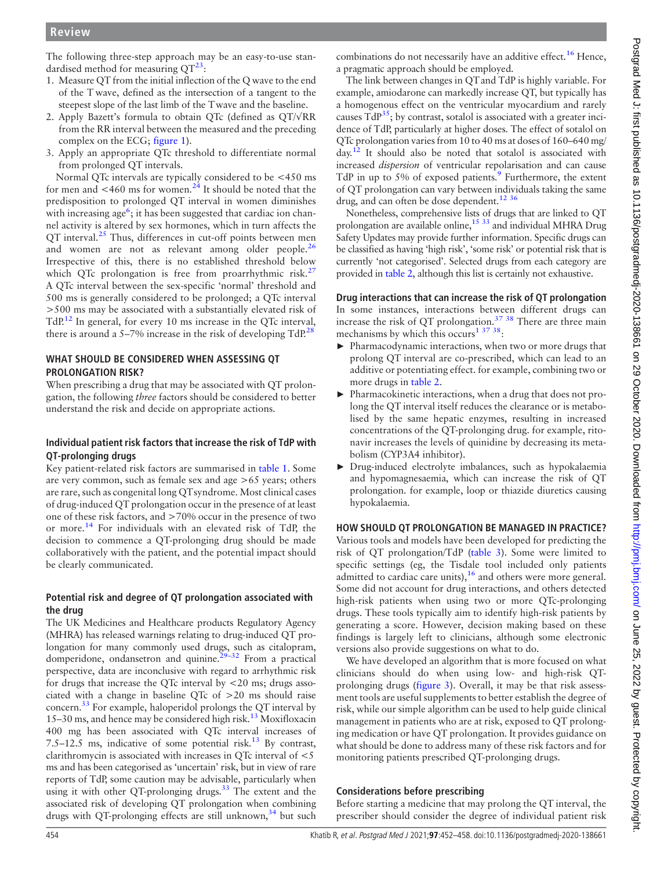The following three-step approach may be an easy-to-use standardised method for measuring  $QT^{23}$ :

- 1. Measure QT from the initial inflection of the Q wave to the end of the T wave, defined as the intersection of a tangent to the steepest slope of the last limb of the Twave and the baseline.
- 2. Apply Bazett's formula to obtain QTc (defined as QT/√RR from the RR interval between the measured and the preceding complex on the ECG; [figure 1\)](#page-1-0).
- 3. Apply an appropriate QTc threshold to differentiate normal from prolonged QT intervals.

Normal QTc intervals are typically considered to be <450 ms for men and  $<460$  ms for women.<sup>[24](#page-6-18)</sup> It should be noted that the predisposition to prolonged QT interval in women diminishes with increasing age<sup>[6](#page-6-4)</sup>; it has been suggested that cardiac ion channel activity is altered by sex hormones, which in turn affects the QT interval.[25](#page-6-19) Thus, differences in cut-off points between men and women are not as relevant among older people. $26$ Irrespective of this, there is no established threshold below which QTc prolongation is free from proarrhythmic risk. $27$ A QTc interval between the sex-specific 'normal' threshold and 500 ms is generally considered to be prolonged; a QTc interval >500 ms may be associated with a substantially elevated risk of TdP.[12](#page-6-8) In general, for every 10 ms increase in the QTc interval, there is around a  $5-7\%$  increase in the risk of developing TdP.<sup>[28](#page-6-22)</sup>

#### WHAT SHOULD BE CONSIDERED WHEN ASSESSING QT PROLONGATION RISK?

When prescribing a drug that may be associated with QT prolongation, the following three factors should be considered to better understand the risk and decide on appropriate actions.

# Individual patient risk factors that increase the risk of TdP with QT-prolonging drugs

Key patient-related risk factors are summarised in [table 1](#page-1-2). Some are very common, such as female sex and age >65 years; others are rare, such as congenital long QTsyndrome. Most clinical cases of drug-induced QT prolongation occur in the presence of at least one of these risk factors, and >70% occur in the presence of two or more.[14](#page-6-23) For individuals with an elevated risk of TdP, the decision to commence a QT-prolonging drug should be made collaboratively with the patient, and the potential impact should be clearly communicated.

# Potential risk and degree of QT prolongation associated with the drug

The UK Medicines and Healthcare products Regulatory Agency (MHRA) has released warnings relating to drug-induced QT prolongation for many commonly used drugs, such as citalopram, domperidone, ondansetron and quinine[.29](#page-6-24)–<sup>32</sup> From a practical perspective, data are inconclusive with regard to arrhythmic risk for drugs that increase the QTc interval by <20 ms; drugs associated with a change in baseline QTc of >20 ms should raise concern[.33](#page-6-25) For example, haloperidol prolongs the QT interval by 15–30 ms, and hence may be considered high risk.<sup>13</sup> Moxifloxacin 400 mg has been associated with QTc interval increases of 7.5–12.5 ms, indicative of some potential risk.<sup>13</sup> By contrast, clarithromycin is associated with increases in QTc interval of <5 ms and has been categorised as 'uncertain' risk, but in view of rare reports of TdP, some caution may be advisable, particularly when using it with other QT-prolonging drugs. $33$  The extent and the associated risk of developing QT prolongation when combining drugs with QT-prolonging effects are still unknown, $34$  but such

combinations do not necessarily have an additive effect.<sup>[16](#page-6-10)</sup> Hence, a pragmatic approach should be employed.

The link between changes in QTand TdP is highly variable. For example, amiodarone can markedly increase QT, but typically has a homogenous effect on the ventricular myocardium and rarely causes  $TdP<sup>35</sup>$ ; by contrast, sotalol is associated with a greater incidence of TdP, particularly at higher doses. The effect of sotalol on QTc prolongation varies from 10 to 40 ms at doses of 160–640 mg/ day.<sup>[12](#page-6-8)</sup> It should also be noted that sotalol is associated with increased dispersion of ventricular repolarisation and can cause TdP in up to  $5\%$  of exposed patients.<sup>[9](#page-6-6)</sup> Furthermore, the extent of QT prolongation can vary between individuals taking the same drug, and can often be dose dependent.<sup>12 36</sup>

Nonetheless, comprehensive lists of drugs that are linked to QT prolongation are available online,<sup>15 33</sup> and individual MHRA Drug Safety Updates may provide further information. Specific drugs can be classified as having 'high risk', 'some risk' or potential risk that is currently 'not categorised'. Selected drugs from each category are provided in [table 2](#page-3-0), although this list is certainly not exhaustive.

# Drug interactions that can increase the risk of QT prolongation

In some instances, interactions between different drugs can increase the risk of QT prolongation.[37 38](#page-6-29) There are three main mechanisms by which this occurs<sup>[1 37 38](#page-6-0)</sup>:

- ► Pharmacodynamic interactions, when two or more drugs that prolong QT interval are co-prescribed, which can lead to an additive or potentiating effect. for example, combining two or more drugs in [table 2](#page-3-0).
- ► Pharmacokinetic interactions, when a drug that does not prolong the QT interval itself reduces the clearance or is metabolised by the same hepatic enzymes, resulting in increased concentrations of the QT-prolonging drug. for example, ritonavir increases the levels of quinidine by decreasing its metabolism (CYP3A4 inhibitor).
- ► Drug-induced electrolyte imbalances, such as hypokalaemia and hypomagnesaemia, which can increase the risk of QT prolongation. for example, loop or thiazide diuretics causing hypokalaemia.

# HOW SHOULD QT PROLONGATION BE MANAGED IN PRACTICE?

Various tools and models have been developed for predicting the risk of QT prolongation/TdP ([table 3](#page-3-1)). Some were limited to specific settings (eg, the Tisdale tool included only patients admitted to cardiac care units),  $^{16}$  $^{16}$  $^{16}$  and others were more general. Some did not account for drug interactions, and others detected high-risk patients when using two or more QTc-prolonging drugs. These tools typically aim to identify high-risk patients by generating a score. However, decision making based on these findings is largely left to clinicians, although some electronic versions also provide suggestions on what to do.

We have developed an algorithm that is more focused on what clinicians should do when using low- and high-risk QTprolonging drugs ([figure 3](#page-4-0)). Overall, it may be that risk assessment tools are useful supplements to better establish the degree of risk, while our simple algorithm can be used to help guide clinical management in patients who are at risk, exposed to QT prolonging medication or have QT prolongation. It provides guidance on what should be done to address many of these risk factors and for monitoring patients prescribed QT-prolonging drugs.

# Considerations before prescribing

Before starting a medicine that may prolong the QT interval, the prescriber should consider the degree of individual patient risk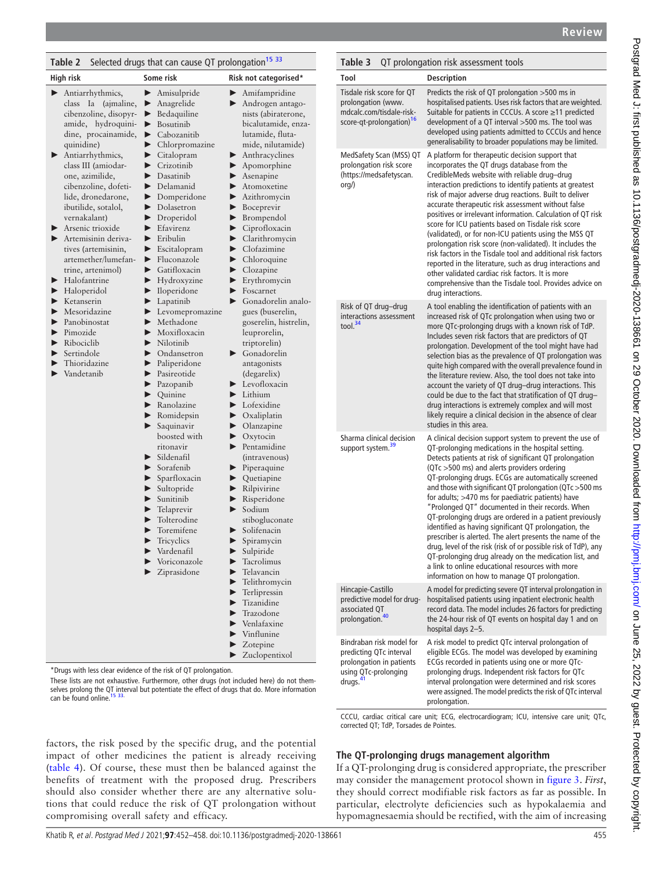<span id="page-3-0"></span>

| Selected drugs that can cause QT prolongation <sup>15 33</sup><br>Table 2                                                                                                                                                                                                                                                                                                                                                                                                                                                                                                                                              |                                                                                                                                                                                                                                                                                                                                                                                                                                                                                                                                                                                                                                                                                                                                                                                                                                                                                                                                                                                                                                            |                                                                                                                                                                                                                                                                                                                                                                                                                                                                                                                                                                                                                                                                                                                                                                                                                                                                                                                                                                                                                                                                                                                                                                                                                                                                            |  |  |  |  |
|------------------------------------------------------------------------------------------------------------------------------------------------------------------------------------------------------------------------------------------------------------------------------------------------------------------------------------------------------------------------------------------------------------------------------------------------------------------------------------------------------------------------------------------------------------------------------------------------------------------------|--------------------------------------------------------------------------------------------------------------------------------------------------------------------------------------------------------------------------------------------------------------------------------------------------------------------------------------------------------------------------------------------------------------------------------------------------------------------------------------------------------------------------------------------------------------------------------------------------------------------------------------------------------------------------------------------------------------------------------------------------------------------------------------------------------------------------------------------------------------------------------------------------------------------------------------------------------------------------------------------------------------------------------------------|----------------------------------------------------------------------------------------------------------------------------------------------------------------------------------------------------------------------------------------------------------------------------------------------------------------------------------------------------------------------------------------------------------------------------------------------------------------------------------------------------------------------------------------------------------------------------------------------------------------------------------------------------------------------------------------------------------------------------------------------------------------------------------------------------------------------------------------------------------------------------------------------------------------------------------------------------------------------------------------------------------------------------------------------------------------------------------------------------------------------------------------------------------------------------------------------------------------------------------------------------------------------------|--|--|--|--|
| High risk                                                                                                                                                                                                                                                                                                                                                                                                                                                                                                                                                                                                              | Some risk                                                                                                                                                                                                                                                                                                                                                                                                                                                                                                                                                                                                                                                                                                                                                                                                                                                                                                                                                                                                                                  | Risk not categorised*                                                                                                                                                                                                                                                                                                                                                                                                                                                                                                                                                                                                                                                                                                                                                                                                                                                                                                                                                                                                                                                                                                                                                                                                                                                      |  |  |  |  |
| Antiarrhythmics,<br>▶<br>class Ia (ajmaline,<br>cibenzoline, disopyr-<br>amide, hydroquini-<br>dine, procainamide,<br>quinidine)<br>Antiarrhythmics,<br>class III (amiodar-<br>one, azimilide,<br>cibenzoline, dofeti-<br>lide, dronedarone,<br>ibutilide, sotalol,<br>vernakalant)<br>$\blacktriangleright$ Arsenic trioxide<br>Artemisinin deriva-<br>tives (artemisinin,<br>artemether/lumefan-<br>trine, artenimol)<br>$\blacktriangleright$ Halofantrine<br>$\blacktriangleright$ Haloperidol<br>Ketanserin<br>Mesoridazine<br>Panobinostat<br>Pimozide<br>Ribociclib<br>Sertindole<br>Thioridazine<br>Vandetanib | Amisulpride<br>▶<br>Anagrelide<br>▶<br>Bedaquiline<br>▶<br>Bosutinib<br>▶<br>Cabozanitib<br>▶<br>Chlorpromazine<br>▶<br>Citalopram<br>▶<br>Crizotinib<br>▶<br>Dasatinib<br>▶<br>$\blacktriangleright$ Delamanid<br>Domperidone<br>▶<br>Dolasetron<br>▶<br>Droperidol<br>Efavirenz<br>▶<br>$\blacktriangleright$ Eribulin<br>Escitalopram<br>▶<br>Fluconazole<br>▶<br>Gatifloxacin<br>▶<br>Hydroxyzine<br>▶<br>$\blacktriangleright$ Iloperidone<br>Lapatinib<br>▶<br>Levomepromazine<br>▶<br>Methadone<br>Moxifloxacin<br>Nilotinib<br>Ondansetron<br>▶<br>Paliperidone<br>▶<br>$\blacktriangleright$ Pasireotide<br>$\blacktriangleright$ Pazopanib<br>$\blacktriangleright$ Quinine<br>Ranolazine<br>$\blacktriangleright$ .<br>$\blacktriangleright$ Romidepsin<br>$\blacktriangleright$ Saquinavir<br>boosted with<br>ritonavir<br>Sildenafil<br>$\blacktriangleright$ Sorafenib<br>Sparfloxacin<br>Sultopride<br>▶<br>Sunitinib<br>Telaprevir<br>Tolterodine<br>Toremifene<br>Tricyclics<br>Vardenafil<br>Voriconazole<br>Ziprasidone | $\blacktriangleright$ Amifampridine<br>Androgen antago-<br>▶<br>nists (abiraterone,<br>bicalutamide, enza-<br>lutamide, fluta-<br>mide, nilutamide)<br>$\blacktriangleright$ Anthracyclines<br>$\blacktriangleright$ Apomorphine<br>Asenapine<br>▶<br>$\blacktriangleright$ Atomoxetine<br>$\blacktriangleright$ Azithromycin<br>Boceprevir<br>▶<br>$\blacktriangleright$ Brompendol<br>Ciprofloxacin<br>▶<br>Clarithromycin<br>▶<br>Clofazimine<br>Chloroquine<br>►<br>$\blacktriangleright$ Clozapine<br>Erythromycin<br>▶<br>$\blacktriangleright$ Foscarnet<br>▶<br>Gonadorelin analo-<br>gues (buserelin,<br>goserelin, histrelin,<br>leuprorelin,<br>triptorelin)<br>$\blacktriangleright$ Gonadorelin<br>antagonists<br>(degarelix)<br>$\blacktriangleright$ Levofloxacin<br>$\blacktriangleright$ Lithium<br>Lofexidine<br>$\triangleright$ Oxaliplatin<br>Olanzapine<br>▶<br>Oxytocin<br>▶<br>Pentamidine<br>▶<br>(intravenous)<br>$\blacktriangleright$ Piperaquine<br>Quetiapine<br>▶<br>Rilpivirine<br>▶<br>Risperidone<br>▶<br>Sodium<br>▶<br>stibogluconate<br>Solifenacin<br>▶<br>Spiramycin<br>Sulpiride<br>Tacrolimus<br>Telavancin<br>Telithromycin<br>Terlipressin<br>Tizanidine<br>Trazodone<br>Venlafaxine<br>Vinflunine<br>Zotepine<br>Zuclopentixol |  |  |  |  |

\*Drugs with less clear evidence of the risk of QT prolongation.

These lists are not exhaustive. Furthermore, other drugs (not included here) do not themselves prolong the QT interval but potentiate the effect of drugs that do. More information can be found online.<sup>15 33</sup>

factors, the risk posed by the specific drug, and the potential impact of other medicines the patient is already receiving [\(table 4\)](#page-4-1). Of course, these must then be balanced against the benefits of treatment with the proposed drug. Prescribers should also consider whether there are any alternative solutions that could reduce the risk of QT prolongation without compromising overall safety and efficacy.

<span id="page-3-1"></span>

| Table 3<br>QT prolongation risk assessment tools                                                                                |                                                                                                                                                                                                                                                                                                                                                                                                                                                                                                                                                                                                                                                                                                                                                                                                                                                                         |  |  |  |  |
|---------------------------------------------------------------------------------------------------------------------------------|-------------------------------------------------------------------------------------------------------------------------------------------------------------------------------------------------------------------------------------------------------------------------------------------------------------------------------------------------------------------------------------------------------------------------------------------------------------------------------------------------------------------------------------------------------------------------------------------------------------------------------------------------------------------------------------------------------------------------------------------------------------------------------------------------------------------------------------------------------------------------|--|--|--|--|
| Tool                                                                                                                            | <b>Description</b>                                                                                                                                                                                                                                                                                                                                                                                                                                                                                                                                                                                                                                                                                                                                                                                                                                                      |  |  |  |  |
| Tisdale risk score for QT<br>prolongation (www.<br>mdcalc.com/tisdale-risk-<br>score-qt-prolongation) <sup>16</sup>             | Predicts the risk of QT prolongation >500 ms in<br>hospitalised patients. Uses risk factors that are weighted.<br>Suitable for patients in CCCUs. A score ≥11 predicted<br>development of a QT interval >500 ms. The tool was<br>developed using patients admitted to CCCUs and hence<br>generalisability to broader populations may be limited.                                                                                                                                                                                                                                                                                                                                                                                                                                                                                                                        |  |  |  |  |
| MedSafety Scan (MSS) QT<br>prolongation risk score<br>(https://medsafetyscan.<br>$\text{orq}$                                   | A platform for therapeutic decision support that<br>incorporates the QT drugs database from the<br>CredibleMeds website with reliable drug-drug<br>interaction predictions to identify patients at greatest<br>risk of major adverse drug reactions. Built to deliver<br>accurate therapeutic risk assessment without false<br>positives or irrelevant information. Calculation of QT risk<br>score for ICU patients based on Tisdale risk score<br>(validated), or for non-ICU patients using the MSS QT<br>prolongation risk score (non-validated). It includes the<br>risk factors in the Tisdale tool and additional risk factors<br>reported in the literature, such as drug interactions and<br>other validated cardiac risk factors. It is more<br>comprehensive than the Tisdale tool. Provides advice on<br>drug interactions.                                 |  |  |  |  |
| Risk of QT drug-drug<br>interactions assessment<br>tool. $34$                                                                   | A tool enabling the identification of patients with an<br>increased risk of QTc prolongation when using two or<br>more QTc-prolonging drugs with a known risk of TdP.<br>Includes seven risk factors that are predictors of QT<br>prolongation. Development of the tool might have had<br>selection bias as the prevalence of QT prolongation was<br>quite high compared with the overall prevalence found in<br>the literature review. Also, the tool does not take into<br>account the variety of QT drug-drug interactions. This<br>could be due to the fact that stratification of QT drug-<br>drug interactions is extremely complex and will most<br>likely require a clinical decision in the absence of clear<br>studies in this area.                                                                                                                          |  |  |  |  |
| Sharma clinical decision<br>support system. <sup>39</sup>                                                                       | A clinical decision support system to prevent the use of<br>QT-prolonging medications in the hospital setting.<br>Detects patients at risk of significant QT prolongation<br>(QTc >500 ms) and alerts providers ordering<br>QT-prolonging drugs. ECGs are automatically screened<br>and those with significant QT prolongation (QTc > 500 ms<br>for adults; >470 ms for paediatric patients) have<br>"Prolonged QT" documented in their records. When<br>QT-prolonging drugs are ordered in a patient previously<br>identified as having significant QT prolongation, the<br>prescriber is alerted. The alert presents the name of the<br>drug, level of the risk (risk of or possible risk of TdP), any<br>QT-prolonging drug already on the medication list, and<br>a link to online educational resources with more<br>information on how to manage QT prolongation. |  |  |  |  |
| Hincapie-Castillo<br>predictive model for drug-<br>associated QT<br>prolongation. <sup>40</sup>                                 | A model for predicting severe QT interval prolongation in<br>hospitalised patients using inpatient electronic health<br>record data. The model includes 26 factors for predicting<br>the 24-hour risk of QT events on hospital day 1 and on<br>hospital days 2–5.                                                                                                                                                                                                                                                                                                                                                                                                                                                                                                                                                                                                       |  |  |  |  |
| Bindraban risk model for<br>predicting QTc interval<br>prolongation in patients<br>using QTc-prolonging<br>drugs. <sup>41</sup> | A risk model to predict QTc interval prolongation of<br>eligible ECGs. The model was developed by examining<br>ECGs recorded in patients using one or more QTc-<br>prolonging drugs. Independent risk factors for QTc<br>interval prolongation were determined and risk scores<br>were assigned. The model predicts the risk of QTc interval<br>prolongation.                                                                                                                                                                                                                                                                                                                                                                                                                                                                                                           |  |  |  |  |

CCCU, cardiac critical care unit; ECG, electrocardiogram; ICU, intensive care unit; QTc, corrected QT; TdP, Torsades de Pointes.

# The QT-prolonging drugs management algorithm

If a QT-prolonging drug is considered appropriate, the prescriber may consider the management protocol shown in [figure 3.](#page-4-0) First, they should correct modifiable risk factors as far as possible. In particular, electrolyte deficiencies such as hypokalaemia and hypomagnesaemia should be rectified, with the aim of increasing Postgrad Med J: first published as 10.1136/postgradmedj-2020-138661 on 29 October 2020. Downloaded from http://pmj.bmj.com/ on June 25, 2022 by guest. Protected by copyright. Postgrad Med J: first published as 10.1136/postgradmedj-2020-138661 on 29 October 2020. Downloaded from <http://pmj.bmj.com/> on June 25, 2022 by guest. Protected by copyright.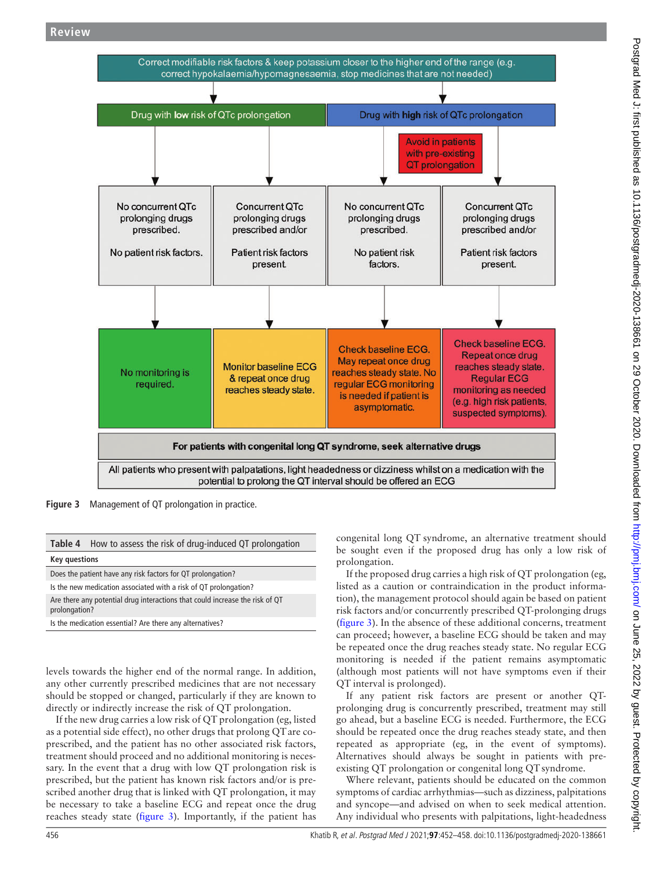<span id="page-4-0"></span>

Figure 3 Management of QT prolongation in practice.

<span id="page-4-1"></span>

| Table 4                                                                                       | How to assess the risk of drug-induced QT prolongation   |  |
|-----------------------------------------------------------------------------------------------|----------------------------------------------------------|--|
| <b>Key questions</b>                                                                          |                                                          |  |
| Does the patient have any risk factors for QT prolongation?                                   |                                                          |  |
| Is the new medication associated with a risk of QT prolongation?                              |                                                          |  |
| Are there any potential drug interactions that could increase the risk of QT<br>prolongation? |                                                          |  |
|                                                                                               | Is the medication essential? Are there any alternatives? |  |

levels towards the higher end of the normal range. In addition, any other currently prescribed medicines that are not necessary should be stopped or changed, particularly if they are known to directly or indirectly increase the risk of QT prolongation.

If the new drug carries a low risk of QT prolongation (eg, listed as a potential side effect), no other drugs that prolong QTare coprescribed, and the patient has no other associated risk factors, treatment should proceed and no additional monitoring is necessary. In the event that a drug with low QT prolongation risk is prescribed, but the patient has known risk factors and/or is prescribed another drug that is linked with QT prolongation, it may be necessary to take a baseline ECG and repeat once the drug reaches steady state [\(figure 3\)](#page-4-0). Importantly, if the patient has

congenital long QT syndrome, an alternative treatment should be sought even if the proposed drug has only a low risk of prolongation.

If the proposed drug carries a high risk of QT prolongation (eg, listed as a caution or contraindication in the product information), the management protocol should again be based on patient risk factors and/or concurrently prescribed QT-prolonging drugs ([figure 3\)](#page-4-0). In the absence of these additional concerns, treatment can proceed; however, a baseline ECG should be taken and may be repeated once the drug reaches steady state. No regular ECG monitoring is needed if the patient remains asymptomatic (although most patients will not have symptoms even if their QT interval is prolonged).

If any patient risk factors are present or another QTprolonging drug is concurrently prescribed, treatment may still go ahead, but a baseline ECG is needed. Furthermore, the ECG should be repeated once the drug reaches steady state, and then repeated as appropriate (eg, in the event of symptoms). Alternatives should always be sought in patients with preexisting QT prolongation or congenital long QT syndrome.

Where relevant, patients should be educated on the common symptoms of cardiac arrhythmias—such as dizziness, palpitations and syncope—and advised on when to seek medical attention. Any individual who presents with palpitations, light-headedness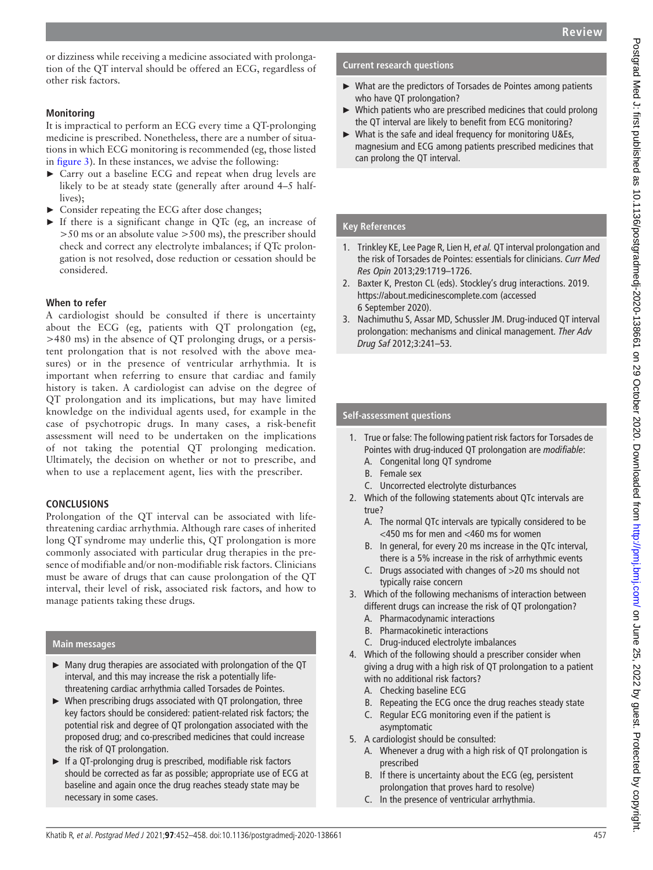or dizziness while receiving a medicine associated with prolongation of the QT interval should be offered an ECG, regardless of other risk factors.

#### Monitoring

It is impractical to perform an ECG every time a QT-prolonging medicine is prescribed. Nonetheless, there are a number of situations in which ECG monitoring is recommended (eg, those listed in [figure 3\)](#page-4-0). In these instances, we advise the following:

- ► Carry out a baseline ECG and repeat when drug levels are likely to be at steady state (generally after around 4–5 halflives);
- ► Consider repeating the ECG after dose changes;
- ► If there is a significant change in QTc (eg, an increase of >50 ms or an absolute value >500 ms), the prescriber should check and correct any electrolyte imbalances; if QTc prolongation is not resolved, dose reduction or cessation should be considered.

#### When to refer

A cardiologist should be consulted if there is uncertainty about the ECG (eg, patients with QT prolongation (eg, >480 ms) in the absence of QT prolonging drugs, or a persistent prolongation that is not resolved with the above measures) or in the presence of ventricular arrhythmia. It is important when referring to ensure that cardiac and family history is taken. A cardiologist can advise on the degree of QT prolongation and its implications, but may have limited knowledge on the individual agents used, for example in the case of psychotropic drugs. In many cases, a risk-benefit assessment will need to be undertaken on the implications of not taking the potential QT prolonging medication. Ultimately, the decision on whether or not to prescribe, and when to use a replacement agent, lies with the prescriber.

#### **CONCLUSIONS**

Prolongation of the QT interval can be associated with lifethreatening cardiac arrhythmia. Although rare cases of inherited long QT syndrome may underlie this, QT prolongation is more commonly associated with particular drug therapies in the presence of modifiable and/or non-modifiable risk factors. Clinicians must be aware of drugs that can cause prolongation of the QT interval, their level of risk, associated risk factors, and how to manage patients taking these drugs.

#### Main messages

- ► Many drug therapies are associated with prolongation of the QT interval, and this may increase the risk a potentially lifethreatening cardiac arrhythmia called Torsades de Pointes.
- ► When prescribing drugs associated with QT prolongation, three key factors should be considered: patient-related risk factors; the potential risk and degree of QT prolongation associated with the proposed drug; and co-prescribed medicines that could increase the risk of QT prolongation.
- ► If a QT-prolonging drug is prescribed, modifiable risk factors should be corrected as far as possible; appropriate use of ECG at baseline and again once the drug reaches steady state may be necessary in some cases.

# Current research questions

- ► What are the predictors of Torsades de Pointes among patients who have QT prolongation?
- $\triangleright$  Which patients who are prescribed medicines that could prolong the QT interval are likely to benefit from ECG monitoring?
- ► What is the safe and ideal frequency for monitoring U&Es, magnesium and ECG among patients prescribed medicines that can prolong the QT interval.

# Key References

- 1. Trinkley KE, Lee Page R, Lien H, et al. QT interval prolongation and the risk of Torsades de Pointes: essentials for clinicians. Curr Med Res Opin 2013;29:1719–1726.
- 2. Baxter K, Preston CL (eds). Stockley's drug interactions. 2019. <https://about.medicinescomplete.com> (accessed 6 September 2020).
- 3. Nachimuthu S, Assar MD, Schussler JM. Drug-induced QT interval prolongation: mechanisms and clinical management. Ther Adv Drug Saf 2012;3:241–53.

# Self-assessment questions

- 1. True or false: The following patient risk factors for Torsades de Pointes with drug-induced QT prolongation are modifiable:
	- A. Congenital long QT syndrome
	- B. Female sex
	- C. Uncorrected electrolyte disturbances
- 2. Which of the following statements about QTc intervals are true?
	- A. The normal QTc intervals are typically considered to be <450 ms for men and <460 ms for women
	- B. In general, for every 20 ms increase in the QTc interval, there is a 5% increase in the risk of arrhythmic events
	- C. Drugs associated with changes of >20 ms should not typically raise concern
- 3. Which of the following mechanisms of interaction between different drugs can increase the risk of QT prolongation?
	- A. Pharmacodynamic interactions
	- B. Pharmacokinetic interactions
	- C. Drug-induced electrolyte imbalances
- 4. Which of the following should a prescriber consider when giving a drug with a high risk of QT prolongation to a patient with no additional risk factors?
	- A. Checking baseline ECG
	- B. Repeating the ECG once the drug reaches steady state
	- C. Regular ECG monitoring even if the patient is asymptomatic
- 5. A cardiologist should be consulted:
	- A. Whenever a drug with a high risk of QT prolongation is prescribed
	- B. If there is uncertainty about the ECG (eg, persistent prolongation that proves hard to resolve)
	- C. In the presence of ventricular arrhythmia.